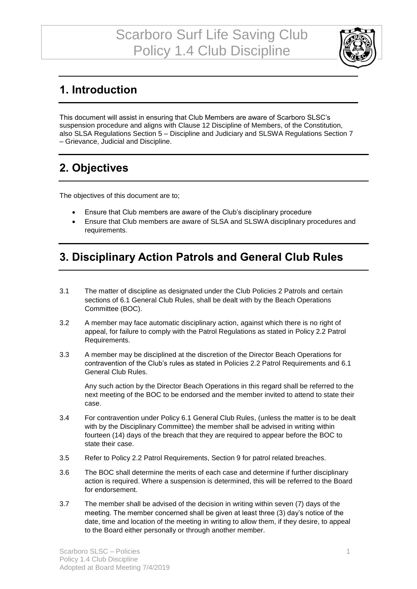

## **1. Introduction**

This document will assist in ensuring that Club Members are aware of Scarboro SLSC's suspension procedure and aligns with Clause 12 Discipline of Members, of the Constitution, also SLSA Regulations Section 5 – Discipline and Judiciary and SLSWA Regulations Section 7 – Grievance, Judicial and Discipline.

## **2. Objectives**

The objectives of this document are to;

- Ensure that Club members are aware of the Club's disciplinary procedure
- Ensure that Club members are aware of SLSA and SLSWA disciplinary procedures and requirements.

### **3. Disciplinary Action Patrols and General Club Rules**

- 3.1 The matter of discipline as designated under the Club Policies 2 Patrols and certain sections of 6.1 General Club Rules, shall be dealt with by the Beach Operations Committee (BOC).
- 3.2 A member may face automatic disciplinary action, against which there is no right of appeal, for failure to comply with the Patrol Regulations as stated in Policy 2.2 Patrol Requirements.
- 3.3 A member may be disciplined at the discretion of the Director Beach Operations for contravention of the Club's rules as stated in Policies 2.2 Patrol Requirements and 6.1 General Club Rules.

Any such action by the Director Beach Operations in this regard shall be referred to the next meeting of the BOC to be endorsed and the member invited to attend to state their case.

- 3.4 For contravention under Policy 6.1 General Club Rules, (unless the matter is to be dealt with by the Disciplinary Committee) the member shall be advised in writing within fourteen (14) days of the breach that they are required to appear before the BOC to state their case.
- 3.5 Refer to Policy 2.2 Patrol Requirements, Section 9 for patrol related breaches.
- 3.6 The BOC shall determine the merits of each case and determine if further disciplinary action is required. Where a suspension is determined, this will be referred to the Board for endorsement.
- 3.7 The member shall be advised of the decision in writing within seven (7) days of the meeting. The member concerned shall be given at least three (3) day's notice of the date, time and location of the meeting in writing to allow them, if they desire, to appeal to the Board either personally or through another member.